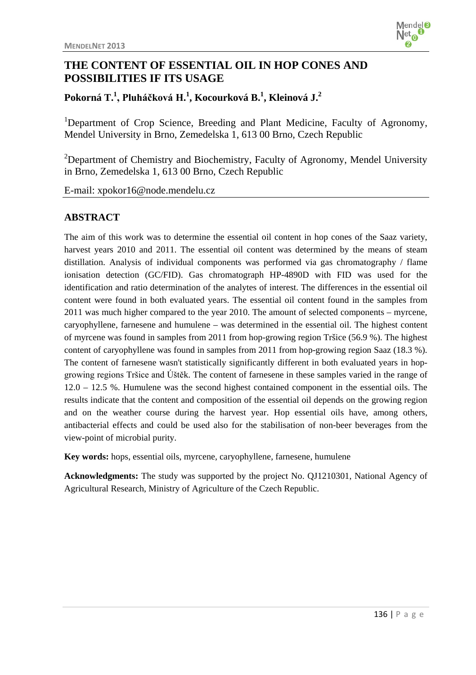

# **THE CONTENT OF ESSENTIAL OIL IN HOP CONES AND POSSIBILITIES IF ITS USAGE**

# **Pokorná T.1 , Pluháčková H.<sup>1</sup> , Kocourková B.1 , Kleinová J.2**

<sup>1</sup>Department of Crop Science, Breeding and Plant Medicine, Faculty of Agronomy, Mendel University in Brno, Zemedelska 1, 613 00 Brno, Czech Republic

<sup>2</sup>Department of Chemistry and Biochemistry, Faculty of Agronomy, Mendel University in Brno, Zemedelska 1, 613 00 Brno, Czech Republic

E-mail: xpokor16@node.mendelu.cz

## **ABSTRACT**

The aim of this work was to determine the essential oil content in hop cones of the Saaz variety, harvest years 2010 and 2011. The essential oil content was determined by the means of steam distillation. Analysis of individual components was performed via gas chromatography / flame ionisation detection (GC/FID). Gas chromatograph HP-4890D with FID was used for the identification and ratio determination of the analytes of interest. The differences in the essential oil content were found in both evaluated years. The essential oil content found in the samples from 2011 was much higher compared to the year 2010. The amount of selected components – myrcene, caryophyllene, farnesene and humulene – was determined in the essential oil. The highest content of myrcene was found in samples from 2011 from hop-growing region Tršice (56.9 %). The highest content of caryophyllene was found in samples from 2011 from hop-growing region Saaz (18.3 %). The content of farnesene wasn't statistically significantly different in both evaluated years in hopgrowing regions Tršice and Úštěk. The content of farnesene in these samples varied in the range of 12.0 – 12.5 %. Humulene was the second highest contained component in the essential oils. The results indicate that the content and composition of the essential oil depends on the growing region and on the weather course during the harvest year. Hop essential oils have, among others, antibacterial effects and could be used also for the stabilisation of non-beer beverages from the view-point of microbial purity.

**Key words:** hops, essential oils, myrcene, caryophyllene, farnesene, humulene

**Acknowledgments:** The study was supported by the project No. QJ1210301, National Agency of Agricultural Research, Ministry of Agriculture of the Czech Republic.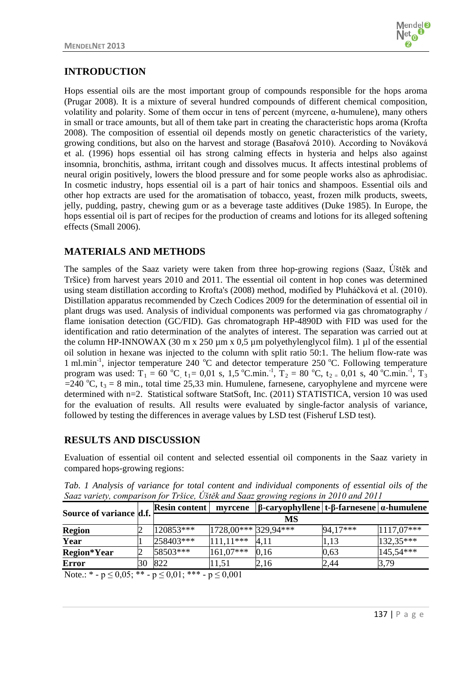

## **INTRODUCTION**

Hops essential oils are the most important group of compounds responsible for the hops aroma (Prugar 2008). It is a mixture of several hundred compounds of different chemical composition, volatility and polarity. Some of them occur in tens of percent (myrcene, α-humulene), many others in small or trace amounts, but all of them take part in creating the characteristic hops aroma (Krofta 2008). The composition of essential oil depends mostly on genetic characteristics of the variety, growing conditions, but also on the harvest and storage (Basařová 2010). According to Nováková et al. (1996) hops essential oil has strong calming effects in hysteria and helps also against insomnia, bronchitis, asthma, irritant cough and dissolves mucus. It affects intestinal problems of neural origin positively, lowers the blood pressure and for some people works also as aphrodisiac. In cosmetic industry, hops essential oil is a part of hair tonics and shampoos. Essential oils and other hop extracts are used for the aromatisation of tobacco, yeast, frozen milk products, sweets, jelly, pudding, pastry, chewing gum or as a beverage taste additives (Duke 1985). In Europe, the hops essential oil is part of recipes for the production of creams and lotions for its alleged softening effects (Small 2006).

## **MATERIALS AND METHODS**

The samples of the Saaz variety were taken from three hop-growing regions (Saaz, Úštěk and Tršice) from harvest years 2010 and 2011. The essential oil content in hop cones was determined using steam distillation according to Krofta's (2008) method, modified by Pluháčková et al. (2010). Distillation apparatus recommended by Czech Codices 2009 for the determination of essential oil in plant drugs was used. Analysis of individual components was performed via gas chromatography / flame ionisation detection (GC/FID). Gas chromatograph HP-4890D with FID was used for the identification and ratio determination of the analytes of interest. The separation was carried out at the column HP-INNOWAX (30 m x 250  $\mu$ m x 0,5  $\mu$ m polyethylenglycol film). 1  $\mu$ l of the essential oil solution in hexane was injected to the column with split ratio 50:1. The helium flow-rate was 1 ml.min<sup>-1</sup>, injector temperature 240 °C and detector temperature 250 °C. Following temperature program was used:  $T_1 = 60 °C$ ,  $t_1 = 0.01$  s,  $1.5 °C$ .min.<sup>-1</sup>,  $T_2 = 80 °C$ ,  $t_2 = 0.01$  s,  $40 °C$ .min.<sup>-1</sup>,  $T_3$  $=$  240 °C, t<sub>3</sub> = 8 min., total time 25,33 min. Humulene, farnesene, caryophylene and myrcene were determined with n=2. Statistical software StatSoft, Inc. (2011) STATISTICA, version 10 was used for the evaluation of results. All results were evaluated by single-factor analysis of variance, followed by testing the differences in average values by LSD test (Fisheruf LSD test).

#### **RESULTS AND DISCUSSION**

Evaluation of essential oil content and selected essential oil components in the Saaz variety in compared hops-growing regions:

| Source of variance d.f. |    | Resin content |                      | myrcene $\beta$ -caryophyllene t- $\beta$ -farnesene $\alpha$ -humulene |          |             |
|-------------------------|----|---------------|----------------------|-------------------------------------------------------------------------|----------|-------------|
|                         |    | MS            |                      |                                                                         |          |             |
| <b>Region</b>           |    | 120853***     | 1728.00*** 329.94*** |                                                                         | 94,17*** | 1117,07***  |
| Year                    |    | 258403***     | $111.11***$          | 4.11                                                                    | 1,13     | $132.35***$ |
| <b>Region*Year</b>      |    | 58503***      | $161.07***$          | 0.16                                                                    | 0.63     | $145.54***$ |
| Error                   | 30 | 822           | 11.51                | 2,16                                                                    | 2.44     | 3.79        |

*Tab. 1 Analysis of variance for total content and individual components of essential oils of the Saaz variety, comparison for Tršice, Úštěk and Saaz growing regions in 2010 and 2011*

Note.:  $* - p \le 0.05$ ;  $** - p \le 0.01$ ;  $** - p \le 0.001$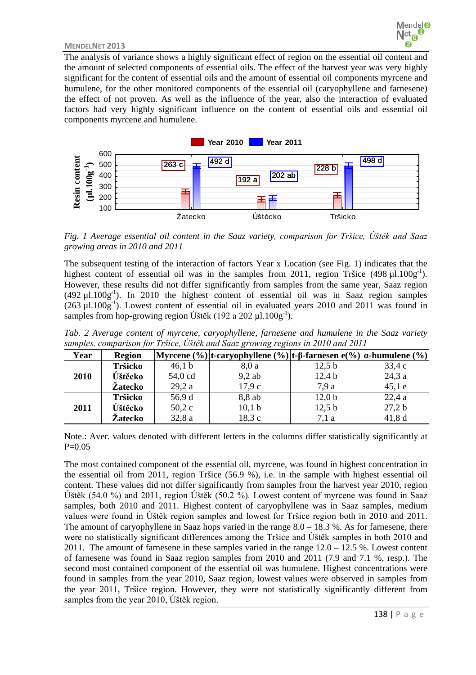#### **MENDELNET 2013**

The analysis of variance shows a highly significant effect of region on the essential oil content and the amount of selected components of essential oils. The effect of the harvest year was very highly significant for the content of essential oils and the amount of essential oil components myrcene and humulene, for the other monitored components of the essential oil (caryophyllene and farnesene) the effect of not proven. As well as the influence of the year, also the interaction of evaluated factors had very highly significant influence on the content of essential oils and essential oil components myrcene and humulene.



*Fig. 1 Average essential oil content in the Saaz variety, comparison for Tršice, Úštěk and Saaz growing areas in 2010 and 2011*

The subsequent testing of the interaction of factors Year x Location (see Fig. 1) indicates that the highest content of essential oil was in the samples from 2011, region Tršice  $(498 \mu 1.100 g^{-1})$ . However, these results did not differ significantly from samples from the same year, Saaz region  $(492 \mu 1.100 g^{-1})$ . In 2010 the highest content of essential oil was in Saaz region samples  $(263 \mu 1.100 g^{-1})$ . Lowest content of essential oil in evaluated years 2010 and 2011 was found in samples from hop-growing region Úštěk (192 a 202 µl.100g<sup>-1</sup>).

| $sum. 10.10$ and $sum. 10.000$ and $sum. 10.000$ and $sum. 10.000$ and $sum. 10.000$ and $sum. 10.000$ |         |                   |                                                                        |                   |                   |  |  |  |
|--------------------------------------------------------------------------------------------------------|---------|-------------------|------------------------------------------------------------------------|-------------------|-------------------|--|--|--|
| Year                                                                                                   | Region  |                   | Myrcene (%)   t-caryophyllene (%)   t-β-farnesen e(%)   α-humulene (%) |                   |                   |  |  |  |
|                                                                                                        | Tršicko | 46.1 <sub>b</sub> | 8.0 a                                                                  | 12.5 <sub>b</sub> | 33.4 c            |  |  |  |
| 2010                                                                                                   | Úštěcko | 54,0 cd           | $9.2$ ab                                                               | 12.4 <sub>b</sub> | 24.3a             |  |  |  |
|                                                                                                        | Žatecko | 29.2a             | 17.9c                                                                  | 7.9 a             | 45.1 e            |  |  |  |
|                                                                                                        | Tršicko | 56.9 d            | 8,8 ab                                                                 | 12.0 <sub>b</sub> | 22.4a             |  |  |  |
| 2011                                                                                                   | Úštěcko | 50.2c             | 10.1 <sub>b</sub>                                                      | 12.5 <sub>b</sub> | 27.2 <sub>b</sub> |  |  |  |
|                                                                                                        | Žatecko | 32.8a             | 18.3c                                                                  | 7,1 a             | 41.8d             |  |  |  |

*Tab. 2 Average content of myrcene, caryophyllene, farnesene and humulene in the Saaz variety samples, comparison for Tršice, Úštěk and Saaz growing regions in 2010 and 2011*

Note.: Aver. values denoted with different letters in the columns differ statistically significantly at  $P=0.05$ 

The most contained component of the essential oil, myrcene, was found in highest concentration in the essential oil from 2011, region Tršice (56.9 %), i.e. in the sample with highest essential oil content. These values did not differ significantly from samples from the harvest year 2010, region Úštěk (54.0 %) and 2011, region Úštěk (50.2 %). Lowest content of myrcene was found in Saaz samples, both 2010 and 2011. Highest content of caryophyllene was in Saaz samples, medium values were found in Úštěk region samples and lowest for Tršice region both in 2010 and 2011. The amount of caryophyllene in Saaz hops varied in the range  $8.0 - 18.3$  %. As for farnesene, there were no statistically significant differences among the Tršice and Úštěk samples in both 2010 and 2011. The amount of farnesene in these samples varied in the range  $12.0 - 12.5$  %. Lowest content of farnesene was found in Saaz region samples from 2010 and 2011 (7.9 and 7.1 %, resp.). The second most contained component of the essential oil was humulene. Highest concentrations were found in samples from the year 2010, Saaz region, lowest values were observed in samples from the year 2011, Tršice region. However, they were not statistically significantly different from samples from the year 2010, Úštěk region.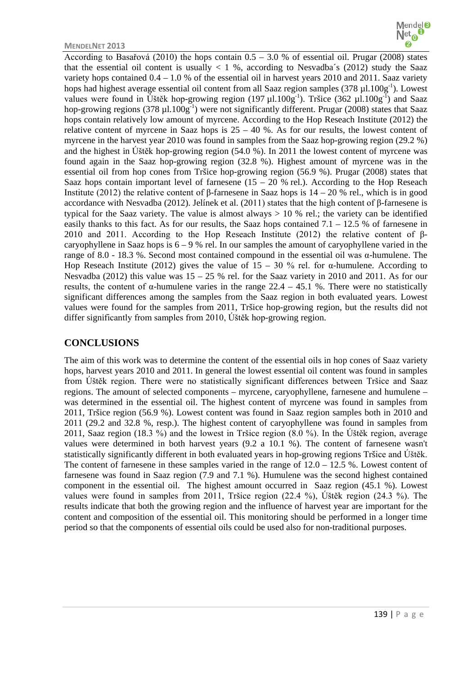

According to Basařová (2010) the hops contain  $0.5 - 3.0$  % of essential oil. Prugar (2008) states that the essential oil content is usually  $\langle 1, 9 \rangle$ , according to Nesvadba's (2012) study the Saaz variety hops contained  $0.4 - 1.0$  % of the essential oil in harvest years 2010 and 2011. Saaz variety hops had highest average essential oil content from all Saaz region samples (378 µl.100g<sup>-1</sup>). Lowest values were found in Úštěk hop-growing region (197  $\mu$ 1.100g<sup>-1</sup>). Tršice (362  $\mu$ 1.100g<sup>-1</sup>) and Saaz hop-growing regions (378 µ1.100g<sup>-1</sup>) were not significantly different. Prugar (2008) states that Saaz hops contain relatively low amount of myrcene. According to the Hop Reseach Institute (2012) the relative content of myrcene in Saaz hops is  $25 - 40$  %. As for our results, the lowest content of myrcene in the harvest year 2010 was found in samples from the Saaz hop-growing region (29.2 %) and the highest in Úštěk hop-growing region (54.0 %). In 2011 the lowest content of myrcene was found again in the Saaz hop-growing region (32.8 %). Highest amount of myrcene was in the essential oil from hop cones from Tršice hop-growing region (56.9 %). Prugar (2008) states that Saaz hops contain important level of farnesene  $(15 - 20 %$  rel.). According to the Hop Reseach Institute (2012) the relative content of β-farnesene in Saaz hops is 14 – 20 % rel., which is in good accordance with Nesvadba (2012). Jelínek et al. (2011) states that the high content of β-farnesene is typical for the Saaz variety. The value is almost always  $> 10\%$  rel.; the variety can be identified easily thanks to this fact. As for our results, the Saaz hops contained  $7.1 - 12.5$  % of farnesene in 2010 and 2011. According to the Hop Reseach Institute (2012) the relative content of βcaryophyllene in Saaz hops is  $6 - 9$  % rel. In our samples the amount of caryophyllene varied in the range of 8.0 - 18.3 %. Second most contained compound in the essential oil was α-humulene. The Hop Reseach Institute (2012) gives the value of  $15 - 30$  % rel. for  $\alpha$ -humulene. According to Nesvadba (2012) this value was  $15 - 25$  % rel. for the Saaz variety in 2010 and 2011. As for our results, the content of α-humulene varies in the range 22.4 – 45.1 %. There were no statistically significant differences among the samples from the Saaz region in both evaluated years. Lowest values were found for the samples from 2011, Tršice hop-growing region, but the results did not differ significantly from samples from 2010, Úštěk hop-growing region.

#### **CONCLUSIONS**

The aim of this work was to determine the content of the essential oils in hop cones of Saaz variety hops, harvest years 2010 and 2011. In general the lowest essential oil content was found in samples from Úštěk region. There were no statistically significant differences between Tršice and Saaz regions. The amount of selected components – myrcene, caryophyllene, farnesene and humulene – was determined in the essential oil. The highest content of myrcene was found in samples from 2011, Tršice region (56.9 %). Lowest content was found in Saaz region samples both in 2010 and 2011 (29.2 and 32.8 %, resp.). The highest content of caryophyllene was found in samples from 2011, Saaz region (18.3 %) and the lowest in Tršice region (8.0 %). In the Úštěk region, average values were determined in both harvest years (9.2 a 10.1 %). The content of farnesene wasn't statistically significantly different in both evaluated years in hop-growing regions Tršice and Úštěk. The content of farnesene in these samples varied in the range of  $12.0 - 12.5$  %. Lowest content of farnesene was found in Saaz region (7.9 and 7.1 %). Humulene was the second highest contained component in the essential oil. The highest amount occurred in Saaz region (45.1 %). Lowest values were found in samples from 2011, Tršice region (22.4 %), Úštěk region (24.3 %). The results indicate that both the growing region and the influence of harvest year are important for the content and composition of the essential oil. This monitoring should be performed in a longer time period so that the components of essential oils could be used also for non-traditional purposes.